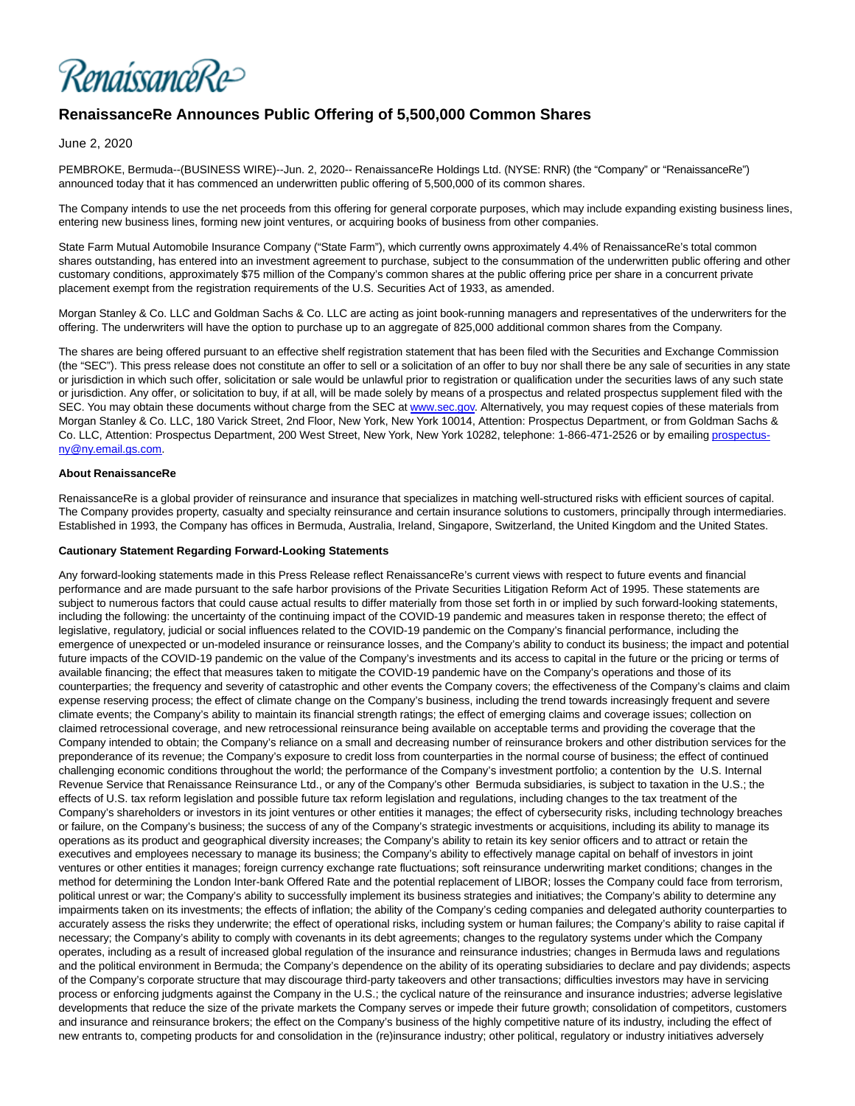RenaissanceRe>

# **RenaissanceRe Announces Public Offering of 5,500,000 Common Shares**

June 2, 2020

PEMBROKE, Bermuda--(BUSINESS WIRE)--Jun. 2, 2020-- RenaissanceRe Holdings Ltd. (NYSE: RNR) (the "Company" or "RenaissanceRe") announced today that it has commenced an underwritten public offering of 5,500,000 of its common shares.

The Company intends to use the net proceeds from this offering for general corporate purposes, which may include expanding existing business lines, entering new business lines, forming new joint ventures, or acquiring books of business from other companies.

State Farm Mutual Automobile Insurance Company ("State Farm"), which currently owns approximately 4.4% of RenaissanceRe's total common shares outstanding, has entered into an investment agreement to purchase, subject to the consummation of the underwritten public offering and other customary conditions, approximately \$75 million of the Company's common shares at the public offering price per share in a concurrent private placement exempt from the registration requirements of the U.S. Securities Act of 1933, as amended.

Morgan Stanley & Co. LLC and Goldman Sachs & Co. LLC are acting as joint book-running managers and representatives of the underwriters for the offering. The underwriters will have the option to purchase up to an aggregate of 825,000 additional common shares from the Company.

The shares are being offered pursuant to an effective shelf registration statement that has been filed with the Securities and Exchange Commission (the "SEC"). This press release does not constitute an offer to sell or a solicitation of an offer to buy nor shall there be any sale of securities in any state or jurisdiction in which such offer, solicitation or sale would be unlawful prior to registration or qualification under the securities laws of any such state or jurisdiction. Any offer, or solicitation to buy, if at all, will be made solely by means of a prospectus and related prospectus supplement filed with the SEC. You may obtain these documents without charge from the SEC at [www.sec.gov.](https://cts.businesswire.com/ct/CT?id=smartlink&url=http%3A%2F%2Fwww.sec.gov&esheet=52228948&newsitemid=20200602005491&lan=en-US&anchor=www.sec.gov&index=1&md5=4ddc575c595ce40996d3db8c4bad2cb0) Alternatively, you may request copies of these materials from Morgan Stanley & Co. LLC, 180 Varick Street, 2nd Floor, New York, New York 10014, Attention: Prospectus Department, or from Goldman Sachs & Co. LLC, Attention: Prospectus Department, 200 West Street, New York, New York 10282, telephone: 1-866-471-2526 or by emailin[g prospectus](mailto:prospectus-ny@ny.email.gs.com)ny@ny.email.gs.com.

## **About RenaissanceRe**

RenaissanceRe is a global provider of reinsurance and insurance that specializes in matching well-structured risks with efficient sources of capital. The Company provides property, casualty and specialty reinsurance and certain insurance solutions to customers, principally through intermediaries. Established in 1993, the Company has offices in Bermuda, Australia, Ireland, Singapore, Switzerland, the United Kingdom and the United States.

#### **Cautionary Statement Regarding Forward-Looking Statements**

Any forward-looking statements made in this Press Release reflect RenaissanceRe's current views with respect to future events and financial performance and are made pursuant to the safe harbor provisions of the Private Securities Litigation Reform Act of 1995. These statements are subject to numerous factors that could cause actual results to differ materially from those set forth in or implied by such forward-looking statements, including the following: the uncertainty of the continuing impact of the COVID-19 pandemic and measures taken in response thereto; the effect of legislative, regulatory, judicial or social influences related to the COVID-19 pandemic on the Company's financial performance, including the emergence of unexpected or un-modeled insurance or reinsurance losses, and the Company's ability to conduct its business; the impact and potential future impacts of the COVID-19 pandemic on the value of the Company's investments and its access to capital in the future or the pricing or terms of available financing; the effect that measures taken to mitigate the COVID-19 pandemic have on the Company's operations and those of its counterparties; the frequency and severity of catastrophic and other events the Company covers; the effectiveness of the Company's claims and claim expense reserving process; the effect of climate change on the Company's business, including the trend towards increasingly frequent and severe climate events; the Company's ability to maintain its financial strength ratings; the effect of emerging claims and coverage issues; collection on claimed retrocessional coverage, and new retrocessional reinsurance being available on acceptable terms and providing the coverage that the Company intended to obtain; the Company's reliance on a small and decreasing number of reinsurance brokers and other distribution services for the preponderance of its revenue; the Company's exposure to credit loss from counterparties in the normal course of business; the effect of continued challenging economic conditions throughout the world; the performance of the Company's investment portfolio; a contention by the U.S. Internal Revenue Service that Renaissance Reinsurance Ltd., or any of the Company's other Bermuda subsidiaries, is subject to taxation in the U.S.; the effects of U.S. tax reform legislation and possible future tax reform legislation and regulations, including changes to the tax treatment of the Company's shareholders or investors in its joint ventures or other entities it manages; the effect of cybersecurity risks, including technology breaches or failure, on the Company's business; the success of any of the Company's strategic investments or acquisitions, including its ability to manage its operations as its product and geographical diversity increases; the Company's ability to retain its key senior officers and to attract or retain the executives and employees necessary to manage its business; the Company's ability to effectively manage capital on behalf of investors in joint ventures or other entities it manages; foreign currency exchange rate fluctuations; soft reinsurance underwriting market conditions; changes in the method for determining the London Inter-bank Offered Rate and the potential replacement of LIBOR; losses the Company could face from terrorism, political unrest or war; the Company's ability to successfully implement its business strategies and initiatives; the Company's ability to determine any impairments taken on its investments; the effects of inflation; the ability of the Company's ceding companies and delegated authority counterparties to accurately assess the risks they underwrite; the effect of operational risks, including system or human failures; the Company's ability to raise capital if necessary; the Company's ability to comply with covenants in its debt agreements; changes to the regulatory systems under which the Company operates, including as a result of increased global regulation of the insurance and reinsurance industries; changes in Bermuda laws and regulations and the political environment in Bermuda; the Company's dependence on the ability of its operating subsidiaries to declare and pay dividends; aspects of the Company's corporate structure that may discourage third-party takeovers and other transactions; difficulties investors may have in servicing process or enforcing judgments against the Company in the U.S.; the cyclical nature of the reinsurance and insurance industries; adverse legislative developments that reduce the size of the private markets the Company serves or impede their future growth; consolidation of competitors, customers and insurance and reinsurance brokers; the effect on the Company's business of the highly competitive nature of its industry, including the effect of new entrants to, competing products for and consolidation in the (re)insurance industry; other political, regulatory or industry initiatives adversely